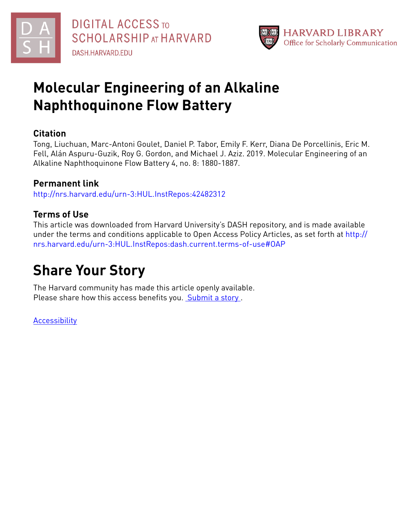



## **Molecular Engineering of an Alkaline Naphthoquinone Flow Battery**

### **Citation**

Tong, Liuchuan, Marc-Antoni Goulet, Daniel P. Tabor, Emily F. Kerr, Diana De Porcellinis, Eric M. Fell, Alán Aspuru-Guzik, Roy G. Gordon, and Michael J. Aziz. 2019. Molecular Engineering of an Alkaline Naphthoquinone Flow Battery 4, no. 8: 1880-1887.

## **Permanent link**

<http://nrs.harvard.edu/urn-3:HUL.InstRepos:42482312>

## **Terms of Use**

This article was downloaded from Harvard University's DASH repository, and is made available under the terms and conditions applicable to Open Access Policy Articles, as set forth at [http://](http://nrs.harvard.edu/urn-3:HUL.InstRepos:dash.current.terms-of-use#OAP) [nrs.harvard.edu/urn-3:HUL.InstRepos:dash.current.terms-of-use#OAP](http://nrs.harvard.edu/urn-3:HUL.InstRepos:dash.current.terms-of-use#OAP)

# **Share Your Story**

The Harvard community has made this article openly available. Please share how this access benefits you. [Submit](http://osc.hul.harvard.edu/dash/open-access-feedback?handle=&title=Molecular%20Engineering%20of%20an%20Alkaline%20Naphthoquinone%20Flow%20Battery&community=1/1&collection=1/2&owningCollection1/2&harvardAuthors=bfd99a8425123dc6e553459f523e1d88&departmentChemistry%20and%20Chemical%20Biology) a story.

[Accessibility](https://dash.harvard.edu/pages/accessibility)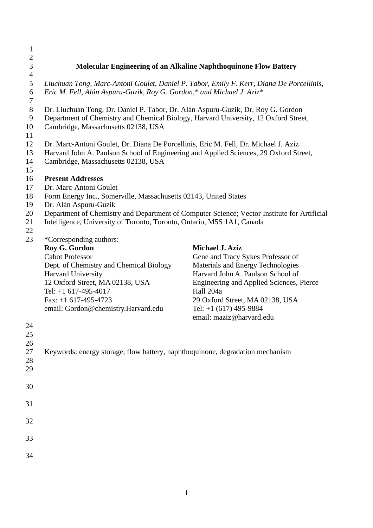| 1                                    |                                                                                                                                                                         |                                          |  |
|--------------------------------------|-------------------------------------------------------------------------------------------------------------------------------------------------------------------------|------------------------------------------|--|
| $\overline{2}$                       |                                                                                                                                                                         |                                          |  |
| 3                                    | Molecular Engineering of an Alkaline Naphthoquinone Flow Battery                                                                                                        |                                          |  |
| $\overline{4}$<br>$\mathfrak s$<br>6 | Liuchuan Tong, Marc-Antoni Goulet, Daniel P. Tabor, Emily F. Kerr, Diana De Porcellinis,<br>Eric M. Fell, Alán Aspuru-Guzik, Roy G. Gordon,* and Michael J. Aziz*       |                                          |  |
| $\tau$                               |                                                                                                                                                                         |                                          |  |
| $8\,$<br>$\boldsymbol{9}$            | Dr. Liuchuan Tong, Dr. Daniel P. Tabor, Dr. Alán Aspuru-Guzik, Dr. Roy G. Gordon<br>Department of Chemistry and Chemical Biology, Harvard University, 12 Oxford Street, |                                          |  |
| 10                                   | Cambridge, Massachusetts 02138, USA                                                                                                                                     |                                          |  |
| 11                                   |                                                                                                                                                                         |                                          |  |
| 12                                   | Dr. Marc-Antoni Goulet, Dr. Diana De Porcellinis, Eric M. Fell, Dr. Michael J. Aziz                                                                                     |                                          |  |
| 13                                   | Harvard John A. Paulson School of Engineering and Applied Sciences, 29 Oxford Street,                                                                                   |                                          |  |
| 14                                   | Cambridge, Massachusetts 02138, USA                                                                                                                                     |                                          |  |
| 15                                   |                                                                                                                                                                         |                                          |  |
| 16                                   | <b>Present Addresses</b>                                                                                                                                                |                                          |  |
| 17<br>18                             | Dr. Marc-Antoni Goulet                                                                                                                                                  |                                          |  |
| 19                                   | Form Energy Inc., Somerville, Massachusetts 02143, United States<br>Dr. Alán Aspuru-Guzik                                                                               |                                          |  |
| 20                                   | Department of Chemistry and Department of Computer Science; Vector Institute for Artificial                                                                             |                                          |  |
| 21                                   | Intelligence, University of Toronto, Toronto, Ontario, M5S 1A1, Canada                                                                                                  |                                          |  |
| 22                                   |                                                                                                                                                                         |                                          |  |
| 23                                   | *Corresponding authors:                                                                                                                                                 |                                          |  |
|                                      | Roy G. Gordon                                                                                                                                                           | <b>Michael J. Aziz</b>                   |  |
|                                      | <b>Cabot Professor</b>                                                                                                                                                  | Gene and Tracy Sykes Professor of        |  |
|                                      | Dept. of Chemistry and Chemical Biology                                                                                                                                 | Materials and Energy Technologies        |  |
|                                      | Harvard University                                                                                                                                                      | Harvard John A. Paulson School of        |  |
|                                      | 12 Oxford Street, MA 02138, USA                                                                                                                                         | Engineering and Applied Sciences, Pierce |  |
|                                      | Tel: $+1$ 617-495-4017                                                                                                                                                  | Hall 204a                                |  |
|                                      | Fax: $+1$ 617-495-4723                                                                                                                                                  | 29 Oxford Street, MA 02138, USA          |  |
|                                      | email: Gordon@chemistry.Harvard.edu                                                                                                                                     | Tel: $+1$ (617) 495-9884                 |  |
|                                      |                                                                                                                                                                         | email: maziz@harvard.edu                 |  |
| 24                                   |                                                                                                                                                                         |                                          |  |
| 25                                   |                                                                                                                                                                         |                                          |  |
| 26                                   |                                                                                                                                                                         |                                          |  |
| 27                                   | Keywords: energy storage, flow battery, naphthoquinone, degradation mechanism                                                                                           |                                          |  |
| 28                                   |                                                                                                                                                                         |                                          |  |
| 29                                   |                                                                                                                                                                         |                                          |  |
|                                      |                                                                                                                                                                         |                                          |  |
| 30                                   |                                                                                                                                                                         |                                          |  |
| 31                                   |                                                                                                                                                                         |                                          |  |
|                                      |                                                                                                                                                                         |                                          |  |
| 32                                   |                                                                                                                                                                         |                                          |  |
| 33                                   |                                                                                                                                                                         |                                          |  |
|                                      |                                                                                                                                                                         |                                          |  |
| 34                                   |                                                                                                                                                                         |                                          |  |
|                                      |                                                                                                                                                                         |                                          |  |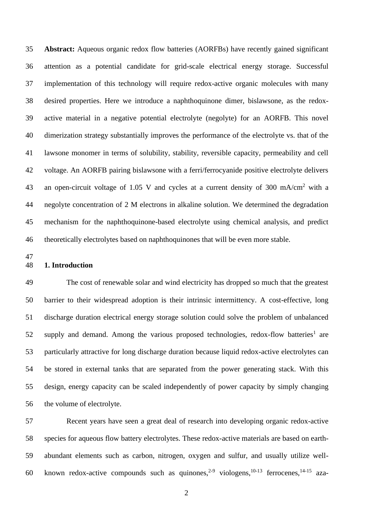**Abstract:** Aqueous organic redox flow batteries (AORFBs) have recently gained significant attention as a potential candidate for grid-scale electrical energy storage. Successful implementation of this technology will require redox-active organic molecules with many desired properties. Here we introduce a naphthoquinone dimer, bislawsone, as the redox- active material in a negative potential electrolyte (negolyte) for an AORFB. This novel dimerization strategy substantially improves the performance of the electrolyte vs. that of the lawsone monomer in terms of solubility, stability, reversible capacity, permeability and cell voltage. An AORFB pairing bislawsone with a ferri/ferrocyanide positive electrolyte delivers 43 an open-circuit voltage of 1.05 V and cycles at a current density of 300 mA/cm<sup>2</sup> with a negolyte concentration of 2 M electrons in alkaline solution. We determined the degradation mechanism for the naphthoquinone-based electrolyte using chemical analysis, and predict theoretically electrolytes based on naphthoquinones that will be even more stable.

#### **1. Introduction**

 The cost of renewable solar and wind electricity has dropped so much that the greatest barrier to their widespread adoption is their intrinsic intermittency. A cost-effective, long discharge duration electrical energy storage solution could solve the problem of unbalanced 52 supply and demand. Among the various proposed technologies, redox-flow batteries<sup>1</sup> are particularly attractive for long discharge duration because liquid redox-active electrolytes can be stored in external tanks that are separated from the power generating stack. With this design, energy capacity can be scaled independently of power capacity by simply changing the volume of electrolyte.

 Recent years have seen a great deal of research into developing organic redox-active species for aqueous flow battery electrolytes. These redox-active materials are based on earth- abundant elements such as carbon, nitrogen, oxygen and sulfur, and usually utilize well-60 known redox-active compounds such as quinones,<sup>2-9</sup> viologens,<sup>10-13</sup> ferrocenes,<sup>14-15</sup> aza-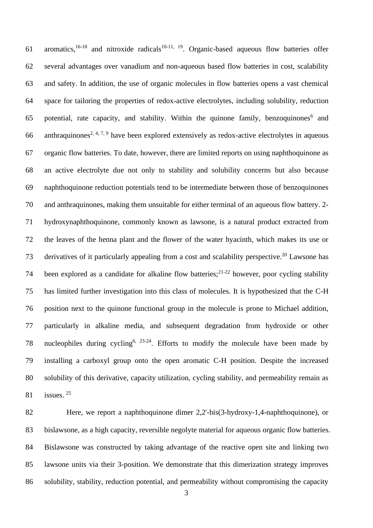61 aromatics,<sup>16-18</sup> and nitroxide radicals<sup>10-11, 19</sup>. Organic-based aqueous flow batteries offer several advantages over vanadium and non-aqueous based flow batteries in cost, scalability and safety. In addition, the use of organic molecules in flow batteries opens a vast chemical space for tailoring the properties of redox-active electrolytes, including solubility, reduction 65 potential, rate capacity, and stability. Within the quinone family, benzoquinones<sup>6</sup> and 66 anthraquinones<sup>2, 4, 7, 9</sup> have been explored extensively as redox-active electrolytes in aqueous organic flow batteries. To date, however, there are limited reports on using naphthoquinone as an active electrolyte due not only to stability and solubility concerns but also because naphthoquinone reduction potentials tend to be intermediate between those of benzoquinones and anthraquinones, making them unsuitable for either terminal of an aqueous flow battery. 2- hydroxynaphthoquinone, commonly known as lawsone, is a natural product extracted from the leaves of the henna plant and the flower of the water hyacinth, which makes its use or 73 derivatives of it particularly appealing from a cost and scalability perspective.<sup>20</sup> Lawsone has 74 been explored as a candidate for alkaline flow batteries;  $2^{1-22}$  however, poor cycling stability has limited further investigation into this class of molecules. It is hypothesized that the C-H position next to the quinone functional group in the molecule is prone to Michael addition, particularly in alkaline media, and subsequent degradation from hydroxide or other 78 nucleophiles during cycling<sup>6,  $23-24$ </sup>. Efforts to modify the molecule have been made by installing a carboxyl group onto the open aromatic C-H position. Despite the increased solubility of this derivative, capacity utilization, cycling stability, and permeability remain as 81 issues.

 Here, we report a naphthoquinone dimer 2,2'-bis(3-hydroxy-1,4-naphthoquinone), or bislawsone, as a high capacity, reversible negolyte material for aqueous organic flow batteries. Bislawsone was constructed by taking advantage of the reactive open site and linking two lawsone units via their 3-position. We demonstrate that this dimerization strategy improves solubility, stability, reduction potential, and permeability without compromising the capacity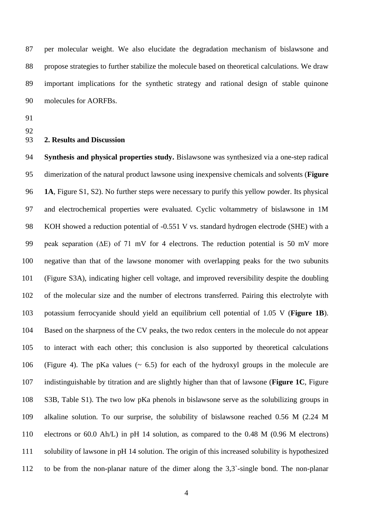per molecular weight. We also elucidate the degradation mechanism of bislawsone and propose strategies to further stabilize the molecule based on theoretical calculations. We draw important implications for the synthetic strategy and rational design of stable quinone molecules for AORFBs.

- 
- 

#### **2. Results and Discussion**

 **Synthesis and physical properties study.** Bislawsone was synthesized via a one-step radical dimerization of the natural product lawsone using inexpensive chemicals and solvents (**Figure 1A**, Figure S1, S2). No further steps were necessary to purify this yellow powder. Its physical and electrochemical properties were evaluated. Cyclic voltammetry of bislawsone in 1M KOH showed a reduction potential of -0.551 V vs. standard hydrogen electrode (SHE) with a peak separation (∆E) of 71 mV for 4 electrons. The reduction potential is 50 mV more negative than that of the lawsone monomer with overlapping peaks for the two subunits (Figure S3A), indicating higher cell voltage, and improved reversibility despite the doubling of the molecular size and the number of electrons transferred. Pairing this electrolyte with potassium ferrocyanide should yield an equilibrium cell potential of 1.05 V (**Figure 1B**). Based on the sharpness of the CV peaks, the two redox centers in the molecule do not appear to interact with each other; this conclusion is also supported by theoretical calculations (Figure 4). The pKa values (~ 6.5) for each of the hydroxyl groups in the molecule are indistinguishable by titration and are slightly higher than that of lawsone (**Figure 1C**, Figure S3B, Table S1). The two low pKa phenols in bislawsone serve as the solubilizing groups in alkaline solution. To our surprise, the solubility of bislawsone reached 0.56 M (2.24 M electrons or 60.0 Ah/L) in pH 14 solution, as compared to the 0.48 M (0.96 M electrons) solubility of lawsone in pH 14 solution. The origin of this increased solubility is hypothesized to be from the non-planar nature of the dimer along the 3,3`-single bond. The non-planar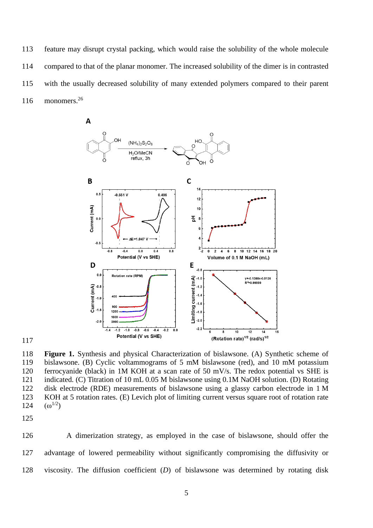feature may disrupt crystal packing, which would raise the solubility of the whole molecule compared to that of the planar monomer. The increased solubility of the dimer is in contrasted with the usually decreased solubility of many extended polymers compared to their parent 116 monomers.





 **Figure 1.** Synthesis and physical Characterization of bislawsone. (A) Synthetic scheme of bislawsone. (B) Cyclic voltammograms of 5 mM bislawsone (red), and 10 mM potassium ferrocyanide (black) in 1M KOH at a scan rate of 50 mV/s. The redox potential vs SHE is indicated. (C) Titration of 10 mL 0.05 M bislawsone using 0.1M NaOH solution. (D) Rotating disk electrode (RDE) measurements of bislawsone using a glassy carbon electrode in 1 M KOH at 5 rotation rates. (E) Levich plot of limiting current versus square root of rotation rate 124  $(\omega^{1/2})$ 

 A dimerization strategy, as employed in the case of bislawsone, should offer the advantage of lowered permeability without significantly compromising the diffusivity or viscosity. The diffusion coefficient (*D*) of bislawsone was determined by rotating disk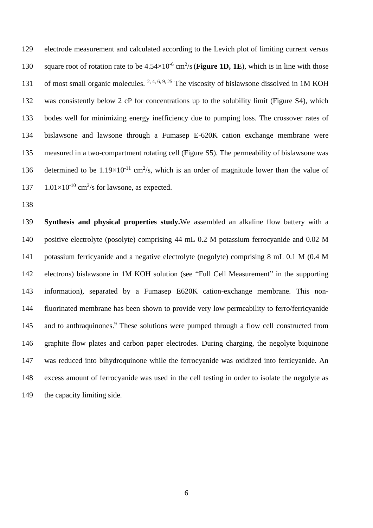electrode measurement and calculated according to the Levich plot of limiting current versus 130 square root of rotation rate to be  $4.54 \times 10^{-6}$  cm<sup>2</sup>/s (**Figure 1D, 1E**), which is in line with those 131 of most small organic molecules.  $2, 4, 6, 9, 25$  The viscosity of bislawsone dissolved in 1M KOH was consistently below 2 cP for concentrations up to the solubility limit (Figure S4), which bodes well for minimizing energy inefficiency due to pumping loss. The crossover rates of bislawsone and lawsone through a Fumasep E-620K cation exchange membrane were measured in a two-compartment rotating cell (Figure S5). The permeability of bislawsone was 136 determined to be  $1.19 \times 10^{-11}$  cm<sup>2</sup>/s, which is an order of magnitude lower than the value of  $1.01 \times 10^{-10}$  cm<sup>2</sup>/s for lawsone, as expected.

 **Synthesis and physical properties study.**We assembled an alkaline flow battery with a positive electrolyte (posolyte) comprising 44 mL 0.2 M potassium ferrocyanide and 0.02 M potassium ferricyanide and a negative electrolyte (negolyte) comprising 8 mL 0.1 M (0.4 M electrons) bislawsone in 1M KOH solution (see "Full Cell Measurement" in the supporting information), separated by a Fumasep E620K cation-exchange membrane. This non- fluorinated membrane has been shown to provide very low permeability to ferro/ferricyanide 145 and to anthraquinones.<sup>9</sup> These solutions were pumped through a flow cell constructed from graphite flow plates and carbon paper electrodes. During charging, the negolyte biquinone was reduced into bihydroquinone while the ferrocyanide was oxidized into ferricyanide. An excess amount of ferrocyanide was used in the cell testing in order to isolate the negolyte as 149 the capacity limiting side.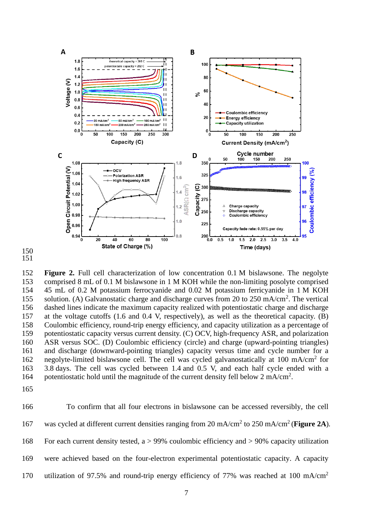

 

 **Figure 2.** Full cell characterization of low concentration 0.1 M bislawsone. The negolyte comprised 8 mL of 0.1 M bislawsone in 1 M KOH while the non-limiting posolyte comprised 45 mL of 0.2 M potassium ferrocyanide and 0.02 M potassium ferricyanide in 1 M KOH 155 solution. (A) Galvanostatic charge and discharge curves from 20 to 250 mA/cm<sup>2</sup>. The vertical dashed lines indicate the maximum capacity realized with potentiostatic charge and discharge at the voltage cutoffs (1.6 and 0.4 V, respectively), as well as the theoretical capacity. (B) Coulombic efficiency, round-trip energy efficiency, and capacity utilization as a percentage of potentiostatic capacity versus current density. (C) OCV, high-frequency ASR, and polarization ASR versus SOC. (D) Coulombic efficiency (circle) and charge (upward-pointing triangles) and discharge (downward-pointing triangles) capacity versus time and cycle number for a 162 negolyte-limited bislawsone cell. The cell was cycled galvanostatically at 100 mA/cm<sup>2</sup> for 3.8 days. The cell was cycled between 1.4 and 0.5 V, and each half cycle ended with a 164 potentiostatic hold until the magnitude of the current density fell below 2 mA/cm<sup>2</sup>.

 To confirm that all four electrons in bislawsone can be accessed reversibly, the cell 167 was cycled at different current densities ranging from 20 mA/cm<sup>2</sup> to 250 mA/cm<sup>2</sup> (**Figure 2A**). For each current density tested, a > 99% coulombic efficiency and > 90% capacity utilization were achieved based on the four-electron experimental potentiostatic capacity. A capacity 170 utilization of 97.5% and round-trip energy efficiency of 77% was reached at 100 mA/cm<sup>2</sup>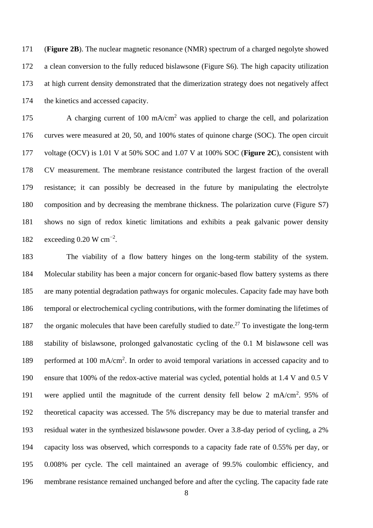(**Figure 2B**). The nuclear magnetic resonance (NMR) spectrum of a charged negolyte showed a clean conversion to the fully reduced bislawsone (Figure S6). The high capacity utilization at high current density demonstrated that the dimerization strategy does not negatively affect the kinetics and accessed capacity.

175 A charging current of 100 mA/cm<sup>2</sup> was applied to charge the cell, and polarization curves were measured at 20, 50, and 100% states of quinone charge (SOC). The open circuit voltage (OCV) is 1.01 V at 50% SOC and 1.07 V at 100% SOC (**Figure 2C**), consistent with CV measurement. The membrane resistance contributed the largest fraction of the overall resistance; it can possibly be decreased in the future by manipulating the electrolyte composition and by decreasing the membrane thickness. The polarization curve (Figure S7) shows no sign of redox kinetic limitations and exhibits a peak galvanic power density 182 exceeding 0.20 W cm<sup>-2</sup>.

 The viability of a flow battery hinges on the long-term stability of the system. Molecular stability has been a major concern for organic-based flow battery systems as there are many potential degradation pathways for organic molecules. Capacity fade may have both temporal or electrochemical cycling contributions, with the former dominating the lifetimes of 187 the organic molecules that have been carefully studied to date.<sup>27</sup> To investigate the long-term stability of bislawsone, prolonged galvanostatic cycling of the 0.1 M bislawsone cell was 189 performed at 100 mA/cm<sup>2</sup>. In order to avoid temporal variations in accessed capacity and to ensure that 100% of the redox-active material was cycled, potential holds at 1.4 V and 0.5 V 191 were applied until the magnitude of the current density fell below 2 mA/cm<sup>2</sup>. 95% of theoretical capacity was accessed. The 5% discrepancy may be due to material transfer and residual water in the synthesized bislawsone powder. Over a 3.8-day period of cycling, a 2% capacity loss was observed, which corresponds to a capacity fade rate of 0.55% per day, or 0.008% per cycle. The cell maintained an average of 99.5% coulombic efficiency, and membrane resistance remained unchanged before and after the cycling. The capacity fade rate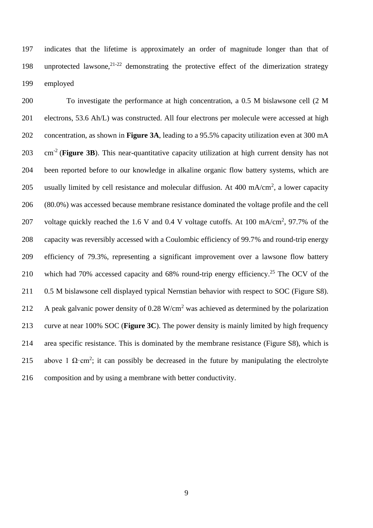indicates that the lifetime is approximately an order of magnitude longer than that of 198 unprotected lawsone,  $2^{1-22}$  demonstrating the protective effect of the dimerization strategy employed

 To investigate the performance at high concentration, a 0.5 M bislawsone cell (2 M electrons, 53.6 Ah/L) was constructed. All four electrons per molecule were accessed at high concentration, as shown in **Figure 3A**, leading to a 95.5% capacity utilization even at 300 mA cm-2 (**Figure 3B**). This near-quantitative capacity utilization at high current density has not been reported before to our knowledge in alkaline organic flow battery systems, which are 205 usually limited by cell resistance and molecular diffusion. At 400 mA/cm<sup>2</sup>, a lower capacity (80.0%) was accessed because membrane resistance dominated the voltage profile and the cell 207 voltage quickly reached the 1.6 V and 0.4 V voltage cutoffs. At 100 mA/cm<sup>2</sup>, 97.7% of the capacity was reversibly accessed with a Coulombic efficiency of 99.7% and round-trip energy efficiency of 79.3%, representing a significant improvement over a lawsone flow battery 210 which had 70% accessed capacity and 68% round-trip energy efficiency.<sup>25</sup> The OCV of the 0.5 M bislawsone cell displayed typical Nernstian behavior with respect to SOC (Figure S8). 212 A peak galvanic power density of  $0.28 \text{ W/cm}^2$  was achieved as determined by the polarization curve at near 100% SOC (**Figure 3C**). The power density is mainly limited by high frequency area specific resistance. This is dominated by the membrane resistance (Figure S8), which is 215 above 1  $\Omega$ ·cm<sup>2</sup>; it can possibly be decreased in the future by manipulating the electrolyte composition and by using a membrane with better conductivity.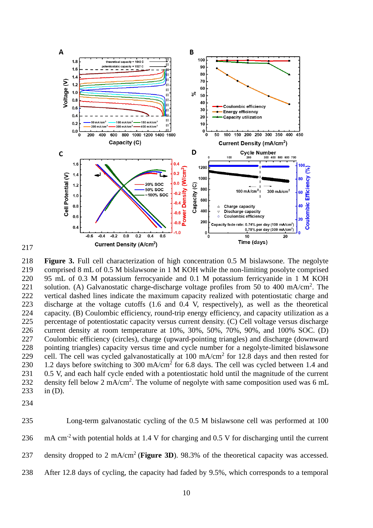

 **Figure 3.** Full cell characterization of high concentration 0.5 M bislawsone. The negolyte comprised 8 mL of 0.5 M bislawsone in 1 M KOH while the non-limiting posolyte comprised 95 mL of 0.3 M potassium ferrocyanide and 0.1 M potassium ferricyanide in 1 M KOH 221 solution. (A) Galvanostatic charge-discharge voltage profiles from 50 to 400 mA/cm<sup>2</sup>. The vertical dashed lines indicate the maximum capacity realized with potentiostatic charge and discharge at the voltage cutoffs (1.6 and 0.4 V, respectively), as well as the theoretical capacity. (B) Coulombic efficiency, round-trip energy efficiency, and capacity utilization as a percentage of potentiostatic capacity versus current density. (C) Cell voltage versus discharge current density at room temperature at 10%, 30%, 50%, 70%, 90%, and 100% SOC. (D) Coulombic efficiency (circles), charge (upward-pointing triangles) and discharge (downward pointing triangles) capacity versus time and cycle number for a negolyte-limited bislawsone 229 cell. The cell was cycled galvanostatically at  $100 \text{ mA/cm}^2$  for 12.8 days and then rested for 230 1.2 days before switching to 300 mA/cm<sup>2</sup> for 6.8 days. The cell was cycled between 1.4 and 231 0.5 V, and each half cycle ended with a potentiostatic hold until the magnitude of the current 232 density fell below 2 mA/cm<sup>2</sup>. The volume of negolyte with same composition used was 6 mL in (D).

| 235 | Long-term galvanostatic cycling of the 0.5 M bislawsone cell was performed at 100                                |
|-----|------------------------------------------------------------------------------------------------------------------|
| 236 | $\mu$ mA cm <sup>-2</sup> with potential holds at 1.4 V for charging and 0.5 V for discharging until the current |
| 237 | density dropped to 2 mA/cm <sup>2</sup> (Figure 3D). 98.3% of the theoretical capacity was accessed.             |
| 238 | After 12.8 days of cycling, the capacity had faded by 9.5%, which corresponds to a temporal                      |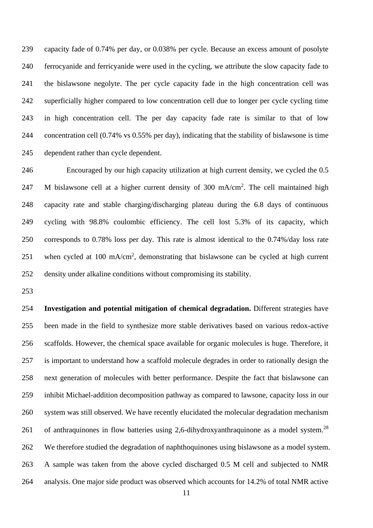capacity fade of 0.74% per day, or 0.038% per cycle. Because an excess amount of posolyte ferrocyanide and ferricyanide were used in the cycling, we attribute the slow capacity fade to the bislawsone negolyte. The per cycle capacity fade in the high concentration cell was superficially higher compared to low concentration cell due to longer per cycle cycling time in high concentration cell. The per day capacity fade rate is similar to that of low concentration cell (0.74% vs 0.55% per day), indicating that the stability of bislawsone is time dependent rather than cycle dependent.

 Encouraged by our high capacity utilization at high current density, we cycled the 0.5 247 M bislawsone cell at a higher current density of 300 mA/cm<sup>2</sup>. The cell maintained high capacity rate and stable charging/discharging plateau during the 6.8 days of continuous cycling with 98.8% coulombic efficiency. The cell lost 5.3% of its capacity, which corresponds to 0.78% loss per day. This rate is almost identical to the 0.74%/day loss rate 251 when cycled at 100 mA/cm<sup>2</sup>, demonstrating that bislawsone can be cycled at high current density under alkaline conditions without compromising its stability.

 **Investigation and potential mitigation of chemical degradation.** Different strategies have been made in the field to synthesize more stable derivatives based on various redox-active scaffolds. However, the chemical space available for organic molecules is huge. Therefore, it is important to understand how a scaffold molecule degrades in order to rationally design the next generation of molecules with better performance. Despite the fact that bislawsone can inhibit Michael-addition decomposition pathway as compared to lawsone, capacity loss in our system was still observed. We have recently elucidated the molecular degradation mechanism 261 of anthraquinones in flow batteries using 2,6-dihydroxyanthraquinone as a model system.<sup>28</sup> We therefore studied the degradation of naphthoquinones using bislawsone as a model system. A sample was taken from the above cycled discharged 0.5 M cell and subjected to NMR analysis. One major side product was observed which accounts for 14.2% of total NMR active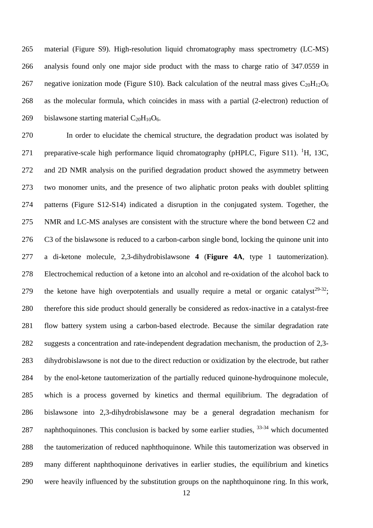material (Figure S9). High-resolution liquid chromatography mass spectrometry (LC-MS) analysis found only one major side product with the mass to charge ratio of 347.0559 in 267 negative ionization mode (Figure S10). Back calculation of the neutral mass gives  $C_{20}H_{12}O_6$  as the molecular formula, which coincides in mass with a partial (2-electron) reduction of 269 bislawsone starting material  $C_{20}H_{10}O_6$ .

 In order to elucidate the chemical structure, the degradation product was isolated by 271 preparative-scale high performance liquid chromatography (pHPLC, Figure S11).  ${}^{1}H$ , 13C, and 2D NMR analysis on the purified degradation product showed the asymmetry between two monomer units, and the presence of two aliphatic proton peaks with doublet splitting patterns (Figure S12-S14) indicated a disruption in the conjugated system. Together, the NMR and LC-MS analyses are consistent with the structure where the bond between C2 and C3 of the bislawsone is reduced to a carbon-carbon single bond, locking the quinone unit into a di-ketone molecule, 2,3-dihydrobislawsone **4** (**Figure 4A**, type 1 tautomerization). Electrochemical reduction of a ketone into an alcohol and re-oxidation of the alcohol back to 279 the ketone have high overpotentials and usually require a metal or organic catalyst<sup>29-32</sup>; therefore this side product should generally be considered as redox-inactive in a catalyst-free flow battery system using a carbon-based electrode. Because the similar degradation rate suggests a concentration and rate-independent degradation mechanism, the production of 2,3- dihydrobislawsone is not due to the direct reduction or oxidization by the electrode, but rather by the enol-ketone tautomerization of the partially reduced quinone-hydroquinone molecule, which is a process governed by kinetics and thermal equilibrium. The degradation of bislawsone into 2,3-dihydrobislawsone may be a general degradation mechanism for 287 naphthoquinones. This conclusion is backed by some earlier studies,  $33-34$  which documented the tautomerization of reduced naphthoquinone. While this tautomerization was observed in many different naphthoquinone derivatives in earlier studies, the equilibrium and kinetics were heavily influenced by the substitution groups on the naphthoquinone ring. In this work,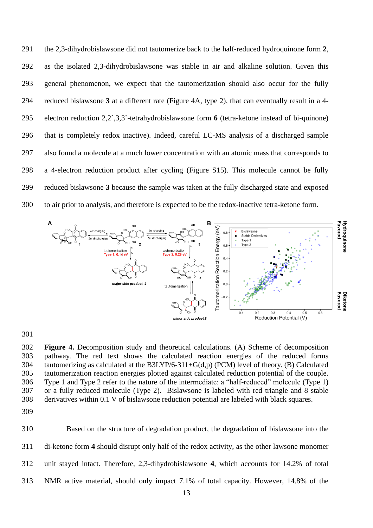the 2,3-dihydrobislawsone did not tautomerize back to the half-reduced hydroquinone form **2**, as the isolated 2,3-dihydrobislawsone was stable in air and alkaline solution. Given this general phenomenon, we expect that the tautomerization should also occur for the fully reduced bislawsone **3** at a different rate (Figure 4A, type 2), that can eventually result in a 4- electron reduction 2,2`,3,3`-tetrahydrobislawsone form **6** (tetra-ketone instead of bi-quinone) that is completely redox inactive). Indeed, careful LC-MS analysis of a discharged sample also found a molecule at a much lower concentration with an atomic mass that corresponds to a 4-electron reduction product after cycling (Figure S15). This molecule cannot be fully reduced bislawsone **3** because the sample was taken at the fully discharged state and exposed to air prior to analysis, and therefore is expected to be the redox-inactive tetra-ketone form.



 **Figure 4.** Decomposition study and theoretical calculations. (A) Scheme of decomposition pathway. The red text shows the calculated reaction energies of the reduced forms tautomerizing as calculated at the B3LYP/6-311+G(d,p) (PCM) level of theory. (B) Calculated tautomerization reaction energies plotted against calculated reduction potential of the couple. Type 1 and Type 2 refer to the nature of the intermediate: a "half-reduced" molecule (Type 1) or a fully reduced molecule (Type 2). Bislawsone is labeled with red triangle and 8 stable derivatives within 0.1 V of bislawsone reduction potential are labeled with black squares.

 Based on the structure of degradation product, the degradation of bislawsone into the di-ketone form **4** should disrupt only half of the redox activity, as the other lawsone monomer unit stayed intact. Therefore, 2,3-dihydrobislawsone **4**, which accounts for 14.2% of total NMR active material, should only impact 7.1% of total capacity. However, 14.8% of the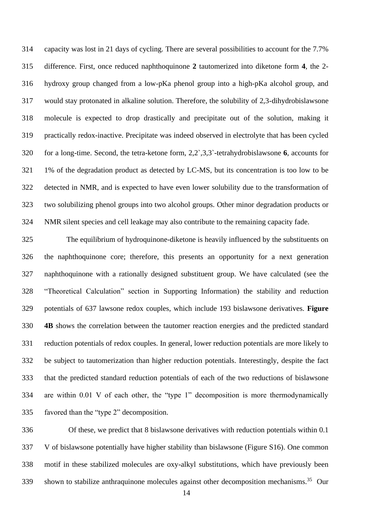capacity was lost in 21 days of cycling. There are several possibilities to account for the 7.7% difference. First, once reduced naphthoquinone **2** tautomerized into diketone form **4**, the 2- hydroxy group changed from a low-pKa phenol group into a high-pKa alcohol group, and would stay protonated in alkaline solution. Therefore, the solubility of 2,3-dihydrobislawsone molecule is expected to drop drastically and precipitate out of the solution, making it practically redox-inactive. Precipitate was indeed observed in electrolyte that has been cycled for a long-time. Second, the tetra-ketone form, 2,2`,3,3`-tetrahydrobislawsone **6**, accounts for 1% of the degradation product as detected by LC-MS, but its concentration is too low to be detected in NMR, and is expected to have even lower solubility due to the transformation of two solubilizing phenol groups into two alcohol groups. Other minor degradation products or NMR silent species and cell leakage may also contribute to the remaining capacity fade.

 The equilibrium of hydroquinone-diketone is heavily influenced by the substituents on the naphthoquinone core; therefore, this presents an opportunity for a next generation naphthoquinone with a rationally designed substituent group. We have calculated (see the "Theoretical Calculation" section in Supporting Information) the stability and reduction potentials of 637 lawsone redox couples, which include 193 bislawsone derivatives. **Figure 4B** shows the correlation between the tautomer reaction energies and the predicted standard reduction potentials of redox couples. In general, lower reduction potentials are more likely to be subject to tautomerization than higher reduction potentials. Interestingly, despite the fact that the predicted standard reduction potentials of each of the two reductions of bislawsone are within 0.01 V of each other, the "type 1" decomposition is more thermodynamically favored than the "type 2" decomposition.

 Of these, we predict that 8 bislawsone derivatives with reduction potentials within 0.1 V of bislawsone potentially have higher stability than bislawsone (Figure S16). One common motif in these stabilized molecules are oxy-alkyl substitutions, which have previously been shown to stabilize anthraquinone molecules against other decomposition mechanisms.<sup>35</sup> Our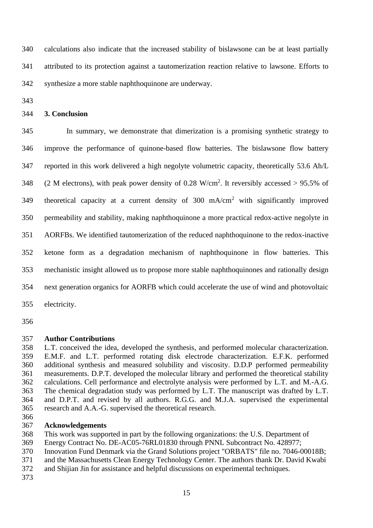calculations also indicate that the increased stability of bislawsone can be at least partially attributed to its protection against a tautomerization reaction relative to lawsone. Efforts to synthesize a more stable naphthoquinone are underway.

#### **3. Conclusion**

 In summary, we demonstrate that dimerization is a promising synthetic strategy to improve the performance of quinone-based flow batteries. The bislawsone flow battery reported in this work delivered a high negolyte volumetric capacity, theoretically 53.6 Ah/L  $\,(2\,$  M electrons), with peak power density of 0.28 W/cm<sup>2</sup>. It reversibly accessed > 95.5% of 349 theoretical capacity at a current density of  $300 \text{ mA/cm}^2$  with significantly improved permeability and stability, making naphthoquinone a more practical redox-active negolyte in AORFBs. We identified tautomerization of the reduced naphthoquinone to the redox-inactive ketone form as a degradation mechanism of naphthoquinone in flow batteries. This mechanistic insight allowed us to propose more stable naphthoquinones and rationally design next generation organics for AORFB which could accelerate the use of wind and photovoltaic electricity.

#### **Author Contributions**

 L.T. conceived the idea, developed the synthesis, and performed molecular characterization. E.M.F. and L.T. performed rotating disk electrode characterization. E.F.K. performed additional synthesis and measured solubility and viscosity. D.D.P performed permeability measurements. D.P.T. developed the molecular library and performed the theoretical stability calculations. Cell performance and electrolyte analysis were performed by L.T. and M.-A.G. The chemical degradation study was performed by L.T. The manuscript was drafted by L.T. and D.P.T. and revised by all authors. R.G.G. and M.J.A. supervised the experimental research and A.A.-G. supervised the theoretical research.

#### **Acknowledgements**

- This work was supported in part by the following organizations: the U.S. Department of
- Energy Contract No. DE-AC05-76RL01830 through PNNL Subcontract No. 428977;
- Innovation Fund Denmark via the Grand Solutions project "ORBATS" file no. 7046-00018B;
- and the Massachusetts Clean Energy Technology Center. The authors thank Dr. David Kwabi
- and Shijian Jin for assistance and helpful discussions on experimental techniques.
-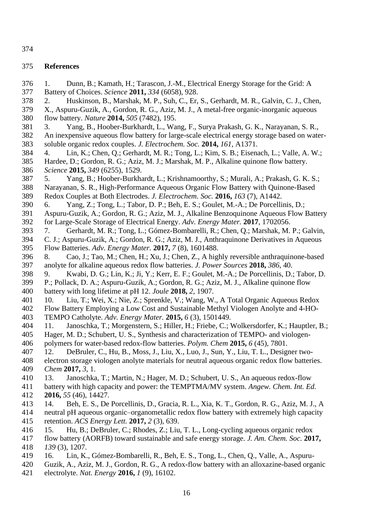#### **References**

- 1. Dunn, B.; Kamath, H.; Tarascon, J.-M., Electrical Energy Storage for the Grid: A Battery of Choices. *Science* **2011,** *334* (6058), 928. 2. Huskinson, B., Marshak, M. P., Suh, C., Er, S., Gerhardt, M. R., Galvin, C. J., Chen, X., Aspuru-Guzik, A., Gordon, R. G., Aziz, M. J., A metal-free organic-inorganic aqueous flow battery. *Nature* **2014,** *505* (7482), 195. 3. Yang, B., Hoober-Burkhardt, L., Wang, F., Surya Prakash, G. K., Narayanan, S. R., An inexpensive aqueous flow battery for large-scale electrical energy storage based on water- soluble organic redox couples. *J. Electrochem. Soc.* **2014,** *161*, A1371. 4. Lin, K.; Chen, Q.; Gerhardt, M. R.; Tong, L.; Kim, S. B.; Eisenach, L.; Valle, A. W.; Hardee, D.; Gordon, R. G.; Aziz, M. J.; Marshak, M. P., Alkaline quinone flow battery. *Science* **2015,** *349* (6255), 1529. 5. Yang, B.; Hoober-Burkhardt, L.; Krishnamoorthy, S.; Murali, A.; Prakash, G. K. S.; Narayanan, S. R., High-Performance Aqueous Organic Flow Battery with Quinone-Based Redox Couples at Both Electrodes. *J. Electrochem. Soc.* **2016,** *163* (7), A1442. 6. Yang, Z.; Tong, L.; Tabor, D. P.; Beh, E. S.; Goulet, M.-A.; De Porcellinis, D.; Aspuru-Guzik, A.; Gordon, R. G.; Aziz, M. J., Alkaline Benzoquinone Aqueous Flow Battery for Large-Scale Storage of Electrical Energy. *Adv. Energy Mater.* **2017**, 1702056. 7. Gerhardt, M. R.; Tong, L.; Gómez-Bombarelli, R.; Chen, Q.; Marshak, M. P.; Galvin, C. J.; Aspuru-Guzik, A.; Gordon, R. G.; Aziz, M. J., Anthraquinone Derivatives in Aqueous Flow Batteries. *Adv. Energy Mater.* **2017,** *7* (8), 1601488. 8. Cao, J.; Tao, M.; Chen, H.; Xu, J.; Chen, Z., A highly reversible anthraquinone-based anolyte for alkaline aqueous redox flow batteries. *J. Power Sources* **2018,** *386*, 40. 9. Kwabi, D. G.; Lin, K.; Ji, Y.; Kerr, E. F.; Goulet, M.-A.; De Porcellinis, D.; Tabor, D. P.; Pollack, D. A.; Aspuru-Guzik, A.; Gordon, R. G.; Aziz, M. J., Alkaline quinone flow battery with long lifetime at pH 12. *Joule* **2018,** *2*, 1907. 10. Liu, T.; Wei, X.; Nie, Z.; Sprenkle, V.; Wang, W., A Total Organic Aqueous Redox Flow Battery Employing a Low Cost and Sustainable Methyl Viologen Anolyte and 4-HO- TEMPO Catholyte. *Adv. Energy Mater.* **2015,** *6* (3), 1501449. 11. Janoschka, T.; Morgenstern, S.; Hiller, H.; Friebe, C.; Wolkersdorfer, K.; Hauptler, B.; Hager, M. D.; Schubert, U. S., Synthesis and characterization of TEMPO- and viologen- polymers for water-based redox-flow batteries. *Polym. Chem* **2015,** *6* (45), 7801. 12. DeBruler, C., Hu, B., Moss, J., Liu, X., Luo, J., Sun, Y., Liu, T. L., Designer two- electron storage viologen anolyte materials for neutral aqueous organic redox flow batteries. *Chem* **2017,** *3*, 1. 13. Janoschka, T.; Martin, N.; Hager, M. D.; Schubert, U. S., An aqueous redox-flow battery with high capacity and power: the TEMPTMA/MV system. *Angew. Chem. Int. Ed.*  **2016,** *55* (46), 14427. 14. Beh, E. S., De Porcellinis, D., Gracia, R. L., Xia, K. T., Gordon, R. G., Aziz, M. J., A neutral pH aqueous organic–organometallic redox flow battery with extremely high capacity retention. *ACS Energy Lett.* **2017,** *2* (3), 639. 15. Hu, B.; DeBruler, C.; Rhodes, Z.; Liu, T. L., Long-cycling aqueous organic redox flow battery (AORFB) toward sustainable and safe energy storage. *J. Am. Chem. Soc.* **2017,** *139* (3), 1207. 16. Lin, K., Gómez-Bombarelli, R., Beh, E. S., Tong, L., Chen, Q., Valle, A., Aspuru-Guzik, A., Aziz, M. J., Gordon, R. G., A redox-flow battery with an alloxazine-based organic
- electrolyte. *Nat. Energy* **2016,** *1* (9), 16102.